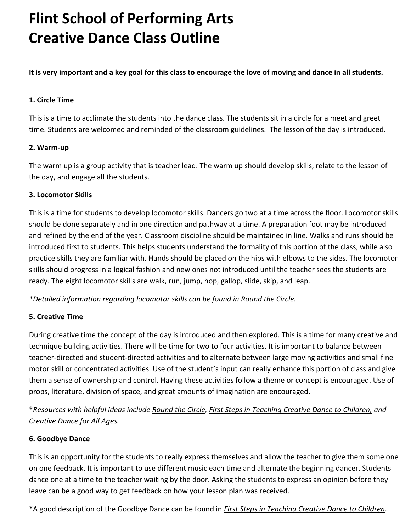# **Flint School of Performing Arts Creative Dance Class Outline**

**It is very important and a key goal for this class to encourage the love of moving and dance in all students.**

## **1. Circle Time**

This is a time to acclimate the students into the dance class. The students sit in a circle for a meet and greet time. Students are welcomed and reminded of the classroom guidelines. The lesson of the day is introduced.

## **2. Warm-up**

The warm up is a group activity that is teacher lead. The warm up should develop skills, relate to the lesson of the day, and engage all the students.

## **3. Locomotor Skills**

This is a time for students to develop locomotor skills. Dancers go two at a time across the floor. Locomotor skills should be done separately and in one direction and pathway at a time. A preparation foot may be introduced and refined by the end of the year. Classroom discipline should be maintained in line. Walks and runs should be introduced first to students. This helps students understand the formality of this portion of the class, while also practice skills they are familiar with. Hands should be placed on the hips with elbows to the sides. The locomotor skills should progress in a logical fashion and new ones not introduced until the teacher sees the students are ready. The eight locomotor skills are walk, run, jump, hop, gallop, slide, skip, and leap.

*\*Detailed information regarding locomotor skills can be found in Round the Circle.*

## **5. Creative Time**

During creative time the concept of the day is introduced and then explored. This is a time for many creative and technique building activities. There will be time for two to four activities. It is important to balance between teacher-directed and student-directed activities and to alternate between large moving activities and small fine motor skill or concentrated activities. Use of the student's input can really enhance this portion of class and give them a sense of ownership and control. Having these activities follow a theme or concept is encouraged. Use of props, literature, division of space, and great amounts of imagination are encouraged.

\**Resources with helpful ideas include Round the Circle, First Steps in Teaching Creative Dance to Children, and Creative Dance for All Ages.*

## **6. Goodbye Dance**

This is an opportunity for the students to really express themselves and allow the teacher to give them some one on one feedback. It is important to use different music each time and alternate the beginning dancer. Students dance one at a time to the teacher waiting by the door. Asking the students to express an opinion before they leave can be a good way to get feedback on how your lesson plan was received.

\*A good description of the Goodbye Dance can be found in *First Steps in Teaching Creative Dance to Children*.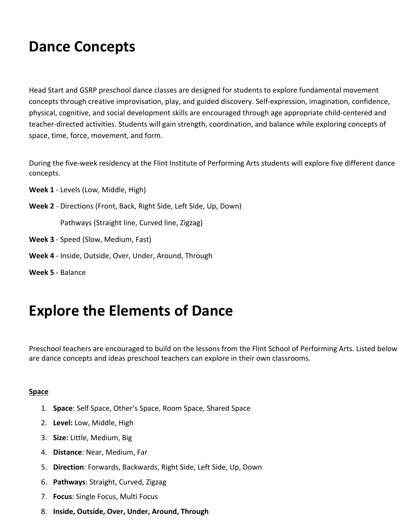## **Dance Concepts**

Head Start and GSRP preschool dance classes are designed for students to explore fundamental movement concepts through creative improvisation, play, and guided discovery. Self-expression, imagination, confidence, physical, cognitive, and social development skills are encouraged through age appropriate child-centered and teacher-directed activities. Students will gain strength, coordination, and balance while exploring concepts of space, time, force, movement, and form.

During the five-week residency at the Flint Institute of Performing Arts students will explore five different dance concepts.

**Week 1** - Levels (Low, Middle, High)

**Week 2** - Directions (Front, Back, Right Side, Left Side, Up, Down)

Pathways (Straight line, Curved line, Zigzag)

- **Week 3**  Speed (Slow, Medium, Fast)
- **Week 4** Inside, Outside, Over, Under, Around, Through

**Week 5** - Balance

## **Explore the Elements of Dance**

Preschool teachers are encouraged to build on the lessons from the Flint School of Performing Arts. Listed below are dance concepts and ideas preschool teachers can explore in their own classrooms.

## **Space**

- 1. **Space**: Self Space, Other's Space, Room Space, Shared Space
- 2. **Level:** Low, Middle, High
- 3. **Size:** Little, Medium, Big
- 4. **Distance**: Near, Medium, Far
- 5. **Direction**: Forwards, Backwards, Right Side, Left Side, Up, Down
- 6. **Pathways**: Straight, Curved, Zigzag
- 7. **Focus**: Single Focus, Multi Focus
- 8. **Inside, Outside, Over, Under, Around, Through**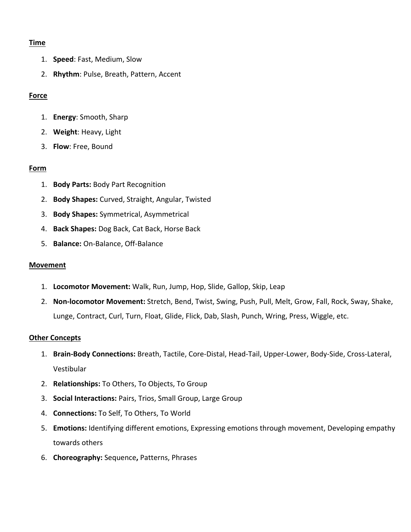## **Time**

- 1. **Speed**: Fast, Medium, Slow
- 2. **Rhythm**: Pulse, Breath, Pattern, Accent

## **Force**

- 1. **Energy**: Smooth, Sharp
- 2. **Weight**: Heavy, Light
- 3. **Flow**: Free, Bound

## **Form**

- 1. **Body Parts:** Body Part Recognition
- 2. **Body Shapes:** Curved, Straight, Angular, Twisted
- 3. **Body Shapes:** Symmetrical, Asymmetrical
- 4. **Back Shapes:** Dog Back, Cat Back, Horse Back
- 5. **Balance:** On-Balance, Off-Balance

## **Movement**

- 1. **Locomotor Movement:** Walk, Run, Jump, Hop, Slide, Gallop, Skip, Leap
- 2. **Non-locomotor Movement:** Stretch, Bend, Twist, Swing, Push, Pull, Melt, Grow, Fall, Rock, Sway, Shake, Lunge, Contract, Curl, Turn, Float, Glide, Flick, Dab, Slash, Punch, Wring, Press, Wiggle, etc.

## **Other Concepts**

- 1. **Brain-Body Connections:** Breath, Tactile, Core-Distal, Head-Tail, Upper-Lower, Body-Side, Cross-Lateral, Vestibular
- 2. **Relationships:** To Others, To Objects, To Group
- 3. **Social Interactions:** Pairs, Trios, Small Group, Large Group
- 4. **Connections:** To Self, To Others, To World
- 5. **Emotions:** Identifying different emotions, Expressing emotions through movement, Developing empathy towards others
- 6. **Choreography:** Sequence**,** Patterns, Phrases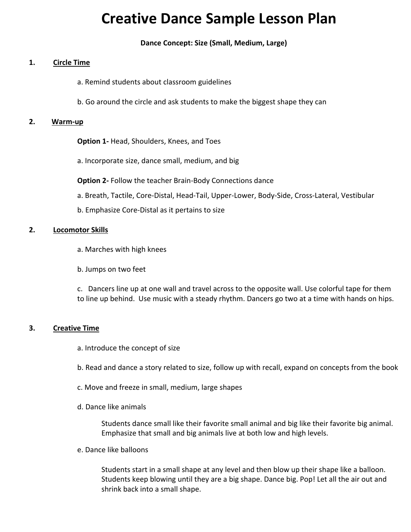## **Creative Dance Sample Lesson Plan**

**Dance Concept: Size (Small, Medium, Large)**

## **1. Circle Time**

- a. Remind students about classroom guidelines
- b. Go around the circle and ask students to make the biggest shape they can

## **2. Warm-up**

**Option 1-** Head, Shoulders, Knees, and Toes

a. Incorporate size, dance small, medium, and big

**Option 2-** Follow the teacher Brain-Body Connections dance

- a. Breath, Tactile, Core-Distal, Head-Tail, Upper-Lower, Body-Side, Cross-Lateral, Vestibular
- b. Emphasize Core-Distal as it pertains to size

## **2. Locomotor Skills**

- a. Marches with high knees
- b. Jumps on two feet

c. Dancers line up at one wall and travel across to the opposite wall. Use colorful tape for them to line up behind. Use music with a steady rhythm. Dancers go two at a time with hands on hips.

## **3. Creative Time**

- a. Introduce the concept of size
- b. Read and dance a story related to size, follow up with recall, expand on concepts from the book
- c. Move and freeze in small, medium, large shapes
- d. Dance like animals

Students dance small like their favorite small animal and big like their favorite big animal. Emphasize that small and big animals live at both low and high levels.

e. Dance like balloons

Students start in a small shape at any level and then blow up their shape like a balloon. Students keep blowing until they are a big shape. Dance big. Pop! Let all the air out and shrink back into a small shape.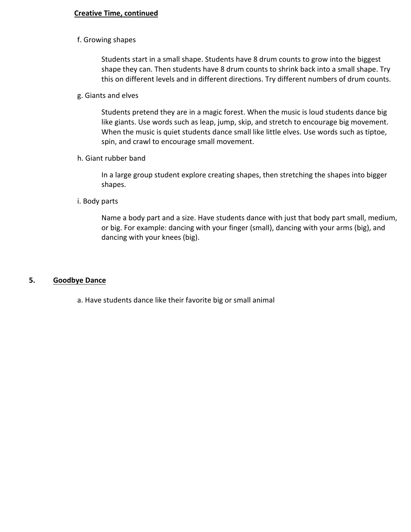## **Creative Time, continued**

f. Growing shapes

Students start in a small shape. Students have 8 drum counts to grow into the biggest shape they can. Then students have 8 drum counts to shrink back into a small shape. Try this on different levels and in different directions. Try different numbers of drum counts.

g. Giants and elves

Students pretend they are in a magic forest. When the music is loud students dance big like giants. Use words such as leap, jump, skip, and stretch to encourage big movement. When the music is quiet students dance small like little elves. Use words such as tiptoe, spin, and crawl to encourage small movement.

h. Giant rubber band

In a large group student explore creating shapes, then stretching the shapes into bigger shapes.

i. Body parts

Name a body part and a size. Have students dance with just that body part small, medium, or big. For example: dancing with your finger (small), dancing with your arms (big), and dancing with your knees (big).

#### **5. Goodbye Dance**

a. Have students dance like their favorite big or small animal